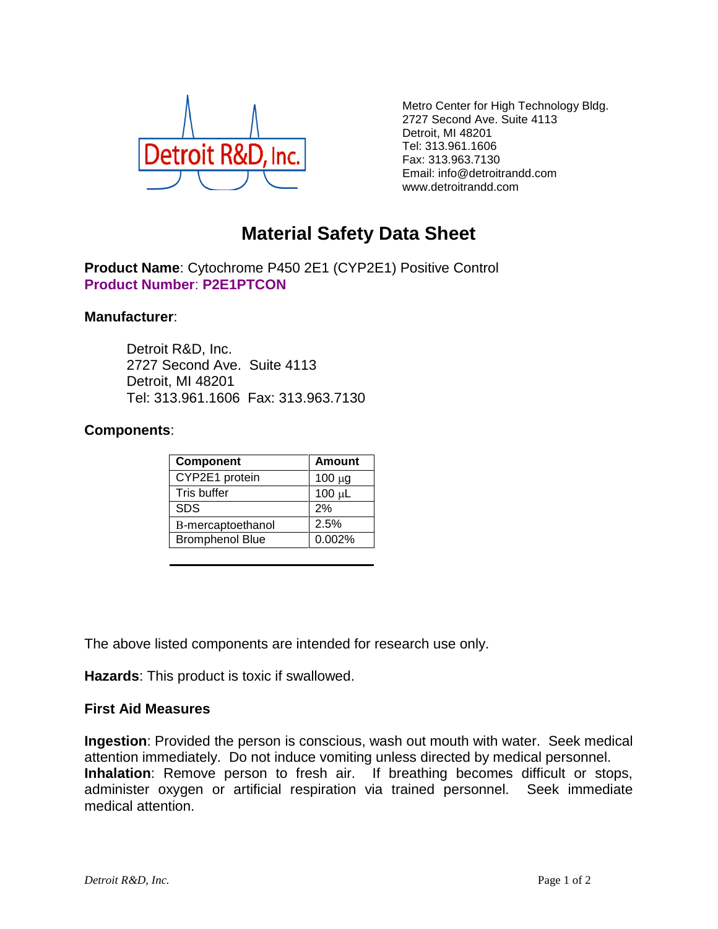

Metro Center for High Technology Bldg. 2727 Second Ave. Suite 4113 Detroit, MI 48201 Tel: 313.961.1606 Fax: 313.963.7130 Email: info@detroitrandd.com www.detroitrandd.com

## **Material Safety Data Sheet**

**Product Name**: Cytochrome P450 2E1 (CYP2E1) Positive Control **Product Number**: **P2E1PTCON**

## **Manufacturer**:

Detroit R&D, Inc. 2727 Second Ave. Suite 4113 Detroit, MI 48201 Tel: 313.961.1606 Fax: 313.963.7130

## **Components**:

| Component              | <b>Amount</b> |
|------------------------|---------------|
| CYP2E1 protein         | $100 \mu g$   |
| Tris buffer            | $100 \mu L$   |
| <b>SDS</b>             | 2%            |
| B-mercaptoethanol      | 2.5%          |
| <b>Bromphenol Blue</b> | 0.002%        |

The above listed components are intended for research use only.

**Hazards**: This product is toxic if swallowed.

## **First Aid Measures**

**Ingestion**: Provided the person is conscious, wash out mouth with water. Seek medical attention immediately. Do not induce vomiting unless directed by medical personnel. **Inhalation**: Remove person to fresh air. If breathing becomes difficult or stops, administer oxygen or artificial respiration via trained personnel. Seek immediate medical attention.